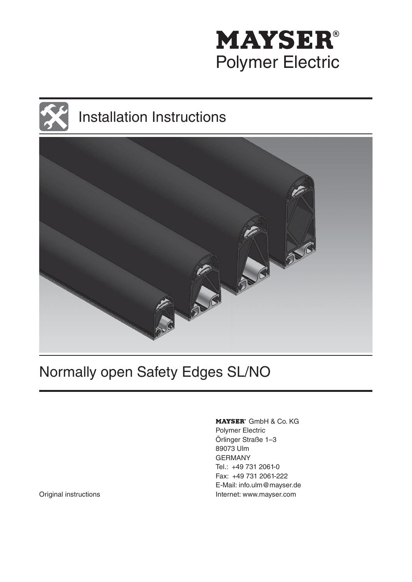

# Installation Instructions



# Normally open Safety Edges SL/NO

MAYSER<sup>®</sup> GmbH & Co. KG Polymer Electric Örlinger Straße 1–3 89073 Ulm GERMANY Tel.: +49 731 2061-0 Fax: +49 731 2061-222 E-Mail: info.ulm@mayser.de Original instructions **Internet:** www.mayser.com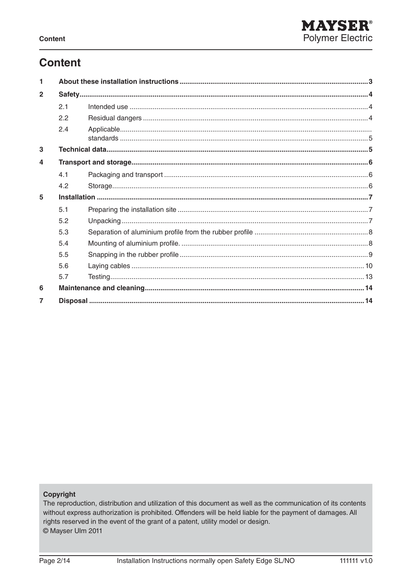# **Content**

| 1              |     |  |  |
|----------------|-----|--|--|
| $\overline{2}$ |     |  |  |
|                | 2.1 |  |  |
|                | 2.2 |  |  |
|                | 2.4 |  |  |
| 3              |     |  |  |
| 4              |     |  |  |
|                | 4.1 |  |  |
|                | 4.2 |  |  |
| 5              |     |  |  |
|                | 5.1 |  |  |
|                | 5.2 |  |  |
|                | 5.3 |  |  |
|                | 5.4 |  |  |
|                | 5.5 |  |  |
|                | 5.6 |  |  |
|                | 5.7 |  |  |
| 6              |     |  |  |
|                |     |  |  |

#### Copyright

The reproduction, distribution and utilization of this document as well as the communication of its contents without express authorization is prohibited. Offenders will be held liable for the payment of damages. All rights reserved in the event of the grant of a patent, utility model or design. © Mayser Ulm 2011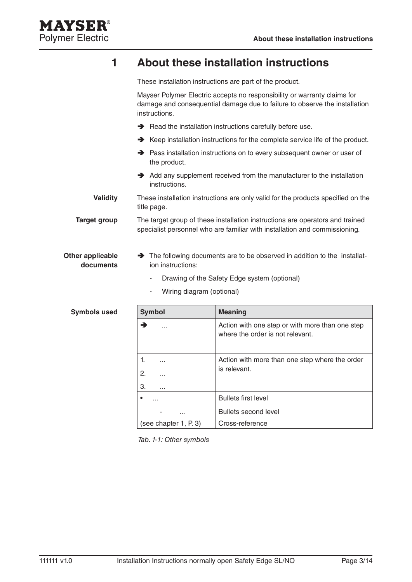

# **1 About these installation instructions**

These installation instructions are part of the product.

Mayser Polymer Electric accepts no responsibility or warranty claims for damage and consequential damage due to failure to observe the installation instructions.

- $\rightarrow$  Read the installation instructions carefully before use.
- $\rightarrow$  Keep installation instructions for the complete service life of the product.
- **→** Pass installation instructions on to every subsequent owner or user of the product.
- $\rightarrow$  Add any supplement received from the manufacturer to the installation instructions.

These installation instructions are only valid for the products specified on the title page. **Validity**

The target group of these installation instructions are operators and trained specialist personnel who are familiar with installation and commissioning. **Target group**

#### $\rightarrow$  The following documents are to be observed in addition to the installation instructions: **Other applicable documents**

- Drawing of the Safety Edge system (optional)
- Wiring diagram (optional)

| <b>Symbol</b>         | <b>Meaning</b>                                                                      |  |  |
|-----------------------|-------------------------------------------------------------------------------------|--|--|
| →<br>.                | Action with one step or with more than one step<br>where the order is not relevant. |  |  |
| 1.                    | Action with more than one step where the order                                      |  |  |
| 2.<br>.               | is relevant.                                                                        |  |  |
| 3.<br>.               |                                                                                     |  |  |
| ٠                     | <b>Bullets first level</b>                                                          |  |  |
| .                     | Bullets second level                                                                |  |  |
| (see chapter 1, P. 3) | Cross-reference                                                                     |  |  |

Tab. 1-1: Other symbols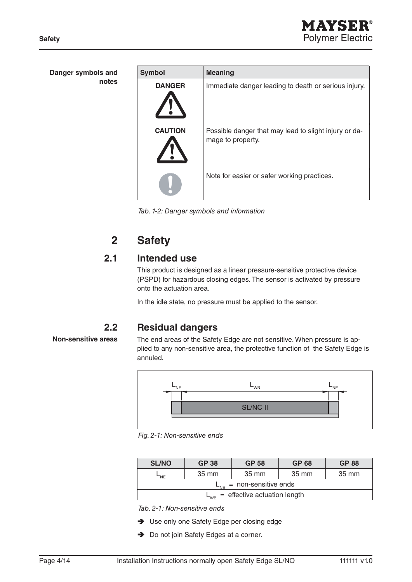| Danger symbols and | <b>Symbol</b>  | <b>Meaning</b>                                                             |
|--------------------|----------------|----------------------------------------------------------------------------|
| notes              | <b>DANGER</b>  | Immediate danger leading to death or serious injury.                       |
|                    | <b>CAUTION</b> | Possible danger that may lead to slight injury or da-<br>mage to property. |
|                    |                | Note for easier or safer working practices.                                |

Tab. 1-2: Danger symbols and information

# **2 Safety**

### **2.1 Intended use**

This product is designed as a linear pressure-sensitive protective device (PSPD) for hazardous closing edges. The sensor is activated by pressure onto the actuation area.

In the idle state, no pressure must be applied to the sensor.

#### **2.2 Residual dangers**

**Non-sensitive areas**

The end areas of the Safety Edge are not sensitive. When pressure is applied to any non-sensitive area, the protective function of the Safety Edge is annuled.



Fig. 2-1: Non-sensitive ends

| <b>SL/NO</b>                            | <b>GP 38</b> | <b>GP 58</b> | <b>GP 68</b> | <b>GP88</b> |
|-----------------------------------------|--------------|--------------|--------------|-------------|
| NE.                                     | 35 mm        | 35 mm        | 35 mm        | 35 mm       |
| $L_{NE}$ = non-sensitive ends           |              |              |              |             |
| $=$ effective actuation length<br>$-wR$ |              |              |              |             |

Tab. 2-1: Non-sensitive ends

- ◆ Use only one Safety Edge per closing edge
- Do not join Safety Edges at a corner.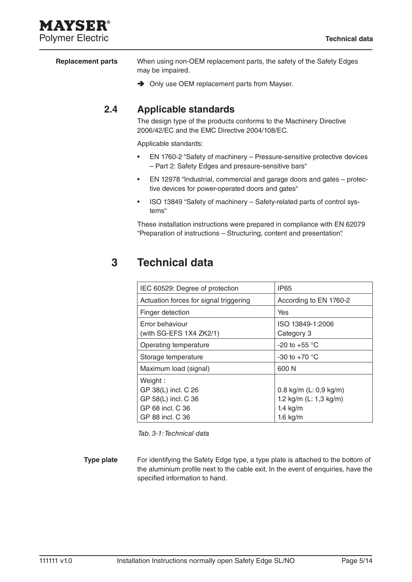# MAYSEI **Polymer Electric Technical data**

When using non-OEM replacement parts, the safety of the Safety Edges may be impaired. **Replacement parts**

**→** Only use OEM replacement parts from Mayser.

## **2.4 Applicable standards**

The design type of the products conforms to the Machinery Directive 2006/42/EC and the EMC Directive 2004/108/EC.

Applicable standards:

- EN 1760-2 "Safety of machinery Pressure-sensitive protective devices – Part 2: Safety Edges and pressure-sensitive bars"
- EN 12978 "Industrial, commercial and garage doors and gates protective devices for power-operated doors and gates"
- ISO 13849 "Safety of machinery Safety-related parts of control systems"

These installation instructions were prepared in compliance with EN 62079 "Preparation of instructions – Structuring, content and presentation".

# **3 Technical data**

| Actuation forces for signal triggering                                                        | According to EN 1760-2                                                          |
|-----------------------------------------------------------------------------------------------|---------------------------------------------------------------------------------|
| Finger detection                                                                              | Yes                                                                             |
| Error behaviour<br>(with $SG$ -EFS 1X4 ZK2/1)                                                 | ISO 13849-1:2006<br>Category 3                                                  |
| Operating temperature                                                                         | -20 to +55 $^{\circ}$ C                                                         |
| Storage temperature                                                                           | -30 to +70 $^{\circ}$ C                                                         |
| Maximum load (signal)                                                                         | 600 N                                                                           |
| Weight:<br>GP 38(L) incl. C 26<br>GP 58(L) incl. C 36<br>GP 68 incl. C 36<br>GP 88 incl. C 36 | 0.8 kg/m (L: 0,9 kg/m)<br>1.2 kg/m $(L: 1, 3$ kg/m)<br>$1.4$ kg/m<br>$1.6$ kg/m |

Tab. 3-1: Technical data

For identifying the Safety Edge type, a type plate is attached to the bottom of the aluminium profile next to the cable exit. In the event of enquiries, have the specified information to hand. **Type plate**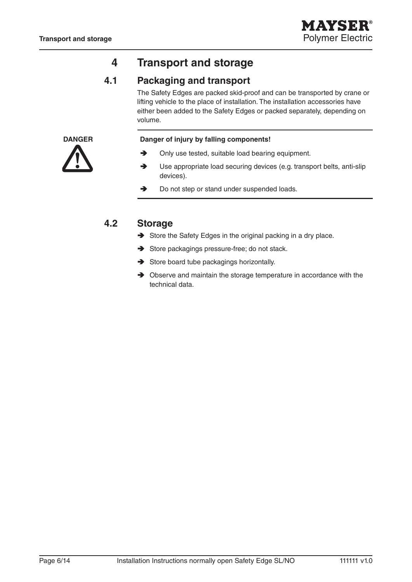# **4 Transport and storage**

## **4.1 Packaging and transport**

The Safety Edges are packed skid-proof and can be transported by crane or lifting vehicle to the place of installation. The installation accessories have either been added to the Safety Edges or packed separately, depending on volume.



#### **DANGER Danger of injury by falling components!**

- $\rightarrow$  Only use tested, suitable load bearing equipment.
- $\rightarrow$  Use appropriate load securing devices (e.g. transport belts, anti-slip devices).
- Do not step or stand under suspended loads.

### **4.2 Storage**

- Store the Safety Edges in the original packing in a dry place.
- Store packagings pressure-free; do not stack.
- $\rightarrow$  Store board tube packagings horizontally.
- $\rightarrow$  Observe and maintain the storage temperature in accordance with the technical data.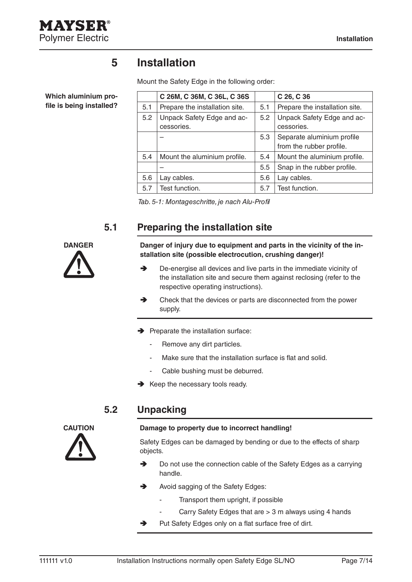

**Which aluminium pro**file is being installed?

# **5 Installation**

Mount the Safety Edge in the following order:

|     | C 26M, C 36M, C 36L, C 36S               |     | $C$ 26, $C$ 36                                         |
|-----|------------------------------------------|-----|--------------------------------------------------------|
| 5.1 | Prepare the installation site.           | 5.1 | Prepare the installation site.                         |
| 5.2 | Unpack Safety Edge and ac-<br>cessories. | 5.2 | Unpack Safety Edge and ac-<br>cessories.               |
|     |                                          | 5.3 | Separate aluminium profile<br>from the rubber profile. |
| 5.4 | Mount the aluminium profile.             | 5.4 | Mount the aluminium profile.                           |
|     |                                          | 5.5 | Snap in the rubber profile.                            |
| 5.6 | Lay cables.                              | 5.6 | Lay cables.                                            |
| 5.7 | Test function.                           | 5.7 | Test function.                                         |

Tab. 5-1: Montageschritte, je nach Alu-Profil

# **5.1 Preparing the installation site**



**DANGER** Danger of injury due to equipment and parts in the vicinity of the in**stallation site (possible electrocution, crushing danger)!**

- **→** De-energise all devices and live parts in the immediate vicinity of the installation site and secure them against reclosing (refer to the respective operating instructions).
- $\rightarrow$  Check that the devices or parts are disconnected from the power supply.
- $\rightarrow$  Preparate the installation surface:
	- Remove any dirt particles.
	- Make sure that the installation surface is flat and solid.
	- Cable bushing must be deburred.
- $\rightarrow$  Keep the necessary tools ready.

### **5.2 Unpacking**



#### **CAUTION Damage to property due to incorrect handling!**

Safety Edges can be damaged by bending or due to the effects of sharp objects.

- → Do not use the connection cable of the Safety Edges as a carrying handle.
- Avoid sagging of the Safety Edges:
	- Transport them upright, if possible
	- Carry Safety Edges that are > 3 m always using 4 hands
- $\rightarrow$  Put Safety Edges only on a flat surface free of dirt.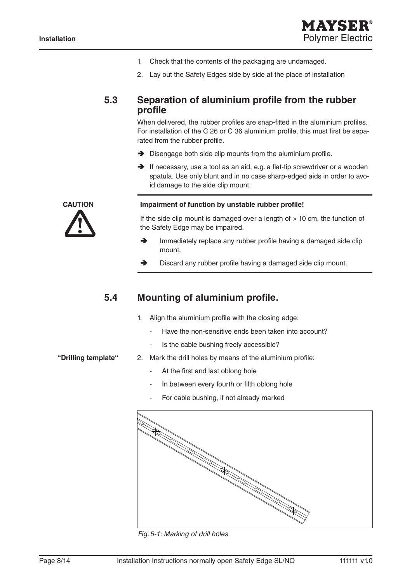

- 1. Check that the contents of the packaging are undamaged.
- 2. Lay out the Safety Edges side by side at the place of installation

#### **5.3** Separation of aluminium profile from the rubber **profi le**

When delivered, the rubber profiles are snap-fitted in the aluminium profiles. For installation of the C 26 or C 36 aluminium profile, this must first be separated from the rubber profile.

- $\rightarrow$  Disengage both side clip mounts from the aluminium profile.
- $\rightarrow$  If necessary, use a tool as an aid, e.g. a flat-tip screwdriver or a wooden spatula. Use only blunt and in no case sharp-edged aids in order to avoid damage to the side clip mount.

#### CAUTION Impairment of function by unstable rubber profile!

If the side clip mount is damaged over a length of  $> 10$  cm, the function of the Safety Edge may be impaired.

- $\rightarrow$  Immediately replace any rubber profile having a damaged side clip mount.
- $\rightarrow$  Discard any rubber profile having a damaged side clip mount.

#### **5.4 Mounting of aluminium profile.**

- 1. Align the aluminium profile with the closing edge:
	- Have the non-sensitive ends been taken into account?
	- Is the cable bushing freely accessible?

#### **"Drilling template"**

- 2. Mark the drill holes by means of the aluminium profile:
	- At the first and last oblong hole
	- In between every fourth or fifth oblong hole
	- For cable bushing, if not already marked



Fig. 5-1: Marking of drill holes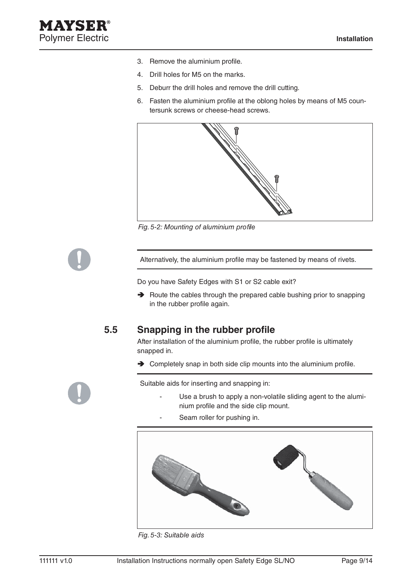- 3. Remove the aluminium profile.
- 4. Drill holes for M5 on the marks.
- 5. Deburr the drill holes and remove the drill cutting.
- 6. Fasten the aluminium profile at the oblong holes by means of M5 countersunk screws or cheese-head screws.



Fig. 5-2: Mounting of aluminium profile

Alternatively, the aluminium profile may be fastened by means of rivets.

Do you have Safety Edges with S1 or S2 cable exit?

 $\rightarrow$  Route the cables through the prepared cable bushing prior to snapping in the rubber profile again.

### **5.5 Snapping in the rubber profile**

After installation of the aluminium profile, the rubber profile is ultimately snapped in.

 $\rightarrow$  Completely snap in both side clip mounts into the aluminium profile.

Suitable aids for inserting and snapping in:

- Use a brush to apply a non-volatile sliding agent to the aluminium profile and the side clip mount.
- Seam roller for pushing in.



Fig. 5-3: Suitable aids

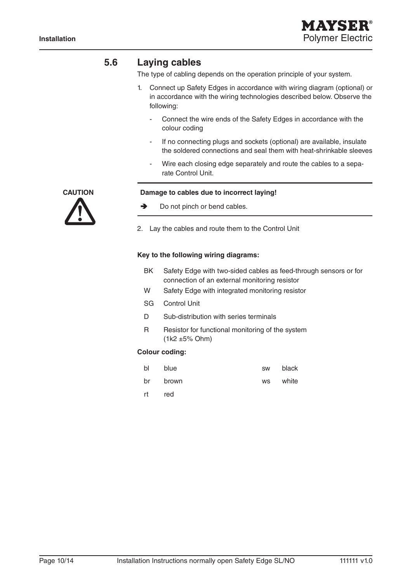### **5.6 Laying cables**

The type of cabling depends on the operation principle of your system.

- 1. Connect up Safety Edges in accordance with wiring diagram (optional) or in accordance with the wiring technologies described below. Observe the following:
	- Connect the wire ends of the Safety Edges in accordance with the colour coding
	- If no connecting plugs and sockets (optional) are available, insulate the soldered connections and seal them with heat-shrinkable sleeves
	- Wire each closing edge separately and route the cables to a separate Control Unit.



#### **CAUTION Damage to cables due to incorrect laying!**

- Do not pinch or bend cables.
- 2. Lay the cables and route them to the Control Unit

#### **Key to the following wiring diagrams:**

- BK Safety Edge with two-sided cables as feed-through sensors or for connection of an external monitoring resistor
- W Safety Edge with integrated monitoring resistor
- SG Control Unit
- D Sub-distribution with series terminals
- R Resistor for functional monitoring of the system (1k2 ±5% Ohm)

#### **Colour coding:**

| bl | blue  | SW        | black |
|----|-------|-----------|-------|
| br | brown | <b>WS</b> | white |
| rt | red   |           |       |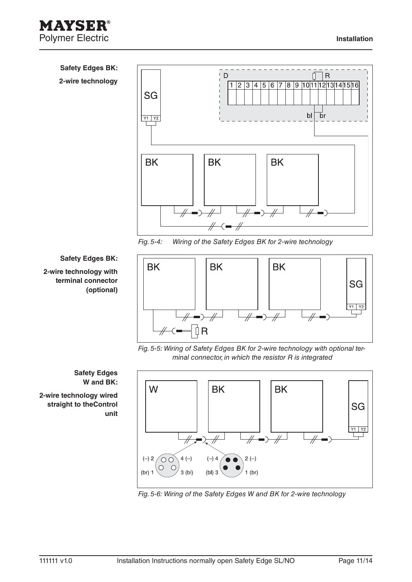



Fig. 5-4: Wiring of the Safety Edges BK for 2-wire technology

#### **Safety Edges BK:**

#### **2-wire technology with terminal connector (optional)**



Fig. 5-5: Wiring of Safety Edges BK for 2-wire technology with optional terminal connector, in which the resistor R is integrated



Fig. 5-6: Wiring of the Safety Edges W and BK for 2-wire technology

**Safety Edges W and BK:** 

**2-wire technology wired straight to theControl unit**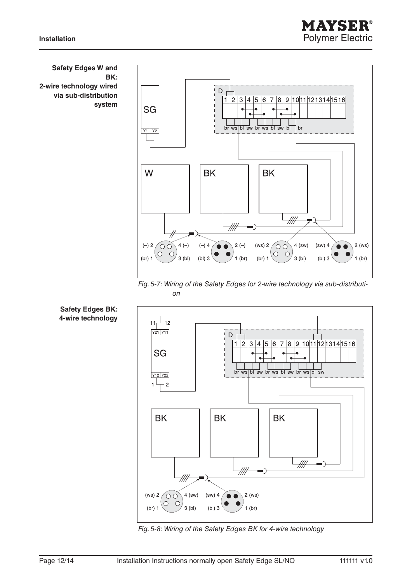



Fig. 5-7: Wiring of the Safety Edges for 2-wire technology via sub-distribution



Fig. 5-8: Wiring of the Safety Edges BK for 4-wire technology

**Safety Edges W and BK: 2-wire technology wired via sub-distribution system**

**Safety Edges BK: 4-wire technology**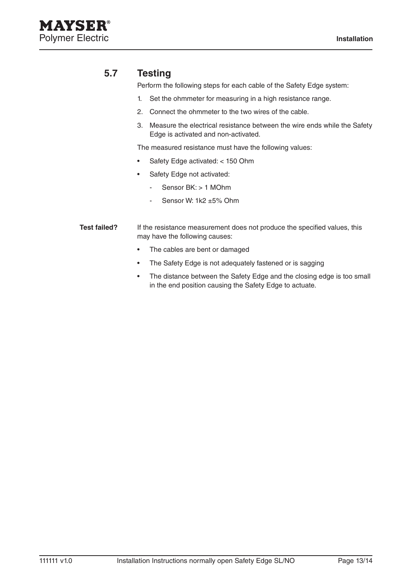### **5.7 Testing**

Perform the following steps for each cable of the Safety Edge system:

- 1. Set the ohmmeter for measuring in a high resistance range.
- 2. Connect the ohmmeter to the two wires of the cable.
- 3. Measure the electrical resistance between the wire ends while the Safety Edge is activated and non-activated.

The measured resistance must have the following values:

- Safety Edge activated: < 150 Ohm
	- Safety Edge not activated:
		- Sensor BK: > 1 MOhm
		- Sensor W: 1k2 ±5% Ohm
- If the resistance measurement does not produce the specified values, this may have the following causes: **Test failed?** 
	- The cables are bent or damaged
	- The Safety Edge is not adequately fastened or is sagging
	- The distance between the Safety Edge and the closing edge is too small in the end position causing the Safety Edge to actuate.